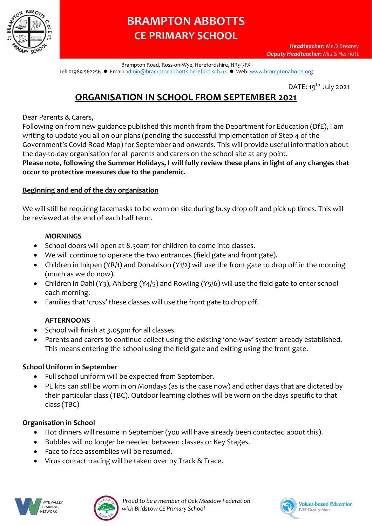

# **BRAMPTON ABBOTTS CE PRIMARY SCHOOL**

Brampton Road, Ross-on-Wye, Herefordshire, HR9 7FX Tel: 01989 562256 ● Email: [admin@bramptonabbotts.hereford.sch.uk](mailto:admin@bramptonabbotts.hereford.sch.uk) ● Web[: www.bramptonabotts.org](http://www.bramptonabotts.org/)

DATE: 19<sup>th</sup> July 2021

# **ORGANISATION IN SCHOOL FROM SEPTEMBER 2021**

Dear Parents & Carers,

Following on from new guidance published this month from the Department for Education (DfE), I am writing to update you all on our plans (pending the successful implementation of Step 4 of the Government's Covid Road Map) for September and onwards. This will provide useful information about the day-to-day organisation for all parents and carers on the school site at any point. **Please note, following the Summer Holidays, I will fully review these plans in light of any changes that** 

#### **occur to protective measures due to the pandemic.**

#### **Beginning and end of the day organisation**

We will still be requiring facemasks to be worn on site during busy drop off and pick up times. This will be reviewed at the end of each half term.

#### **MORNINGS**

- School doors will open at 8.50am for children to come into classes.
- We will continue to operate the two entrances (field gate and front gate).
- Children in Inkpen (YR/1) and Donaldson (Y1/2) will use the front gate to drop off in the morning (much as we do now).
- Children in Dahl (Y3), Ahlberg (Y4/5) and Rowling (Y5/6) will use the field gate to enter school each morning.
- Families that 'cross' these classes will use the front gate to drop off.

#### **AFTERNOONS**

- School will finish at 3.05pm for all classes.
- Parents and carers to continue collect using the existing 'one-way' system already established. This means entering the school using the field gate and exiting using the front gate.

#### **School Uniform in September**

- Full school uniform will be expected from September.
- PE kits can still be worn in on Mondays (as is the case now) and other days that are dictated by their particular class (TBC). Outdoor learning clothes will be worn on the days specific to that class (TBC)

#### **Organisation in School**

- Hot dinners will resume in September (you will have already been contacted about this).
- Bubbles will no longer be needed between classes or Key Stages.
- Face to face assemblies will be resumed.
- Virus contact tracing will be taken over by Track & Trace.